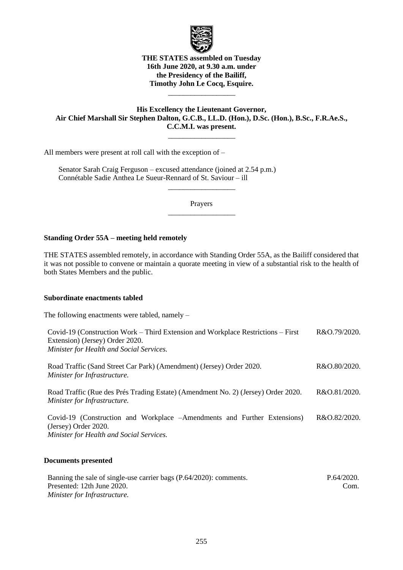

# **THE STATES assembled on Tuesday 16th June 2020, at 9.30 a.m. under the Presidency of the Bailiff, Timothy John Le Cocq, Esquire.**

\_\_\_\_\_\_\_\_\_\_\_\_\_\_\_\_\_\_

# **His Excellency the Lieutenant Governor, Air Chief Marshall Sir Stephen Dalton, G.C.B., LL.D. (Hon.), D.Sc. (Hon.), B.Sc., F.R.Ae.S., C.C.M.I. was present.**

\_\_\_\_\_\_\_\_\_\_\_\_\_\_\_\_\_\_

All members were present at roll call with the exception of –

Senator Sarah Craig Ferguson – excused attendance (joined at 2.54 p.m.) Connétable Sadie Anthea Le Sueur-Rennard of St. Saviour – ill

> Prayers  $\overline{\phantom{a}}$  , where  $\overline{\phantom{a}}$

> $\overline{\phantom{a}}$  , where  $\overline{\phantom{a}}$

### **Standing Order 55A – meeting held remotely**

THE STATES assembled remotely, in accordance with Standing Order 55A, as the Bailiff considered that it was not possible to convene or maintain a quorate meeting in view of a substantial risk to the health of both States Members and the public.

#### **Subordinate enactments tabled**

The following enactments were tabled, namely –

| Covid-19 (Construction Work – Third Extension and Workplace Restrictions – First<br>Extension) (Jersey) Order 2020.                           | R&O.79/2020. |
|-----------------------------------------------------------------------------------------------------------------------------------------------|--------------|
| Minister for Health and Social Services.                                                                                                      |              |
| Road Traffic (Sand Street Car Park) (Amendment) (Jersey) Order 2020.<br>Minister for Infrastructure.                                          | R&O.80/2020. |
| Road Traffic (Rue des Prés Trading Estate) (Amendment No. 2) (Jersey) Order 2020.<br>Minister for Infrastructure.                             | R&O.81/2020. |
| Covid-19 (Construction and Workplace – Amendments and Further Extensions)<br>(Jersey) Order 2020.<br>Minister for Health and Social Services. | R&O.82/2020. |
|                                                                                                                                               |              |

# **Documents presented**

| Banning the sale of single-use carrier bags (P.64/2020): comments. | P.64/2020. |
|--------------------------------------------------------------------|------------|
| Presented: 12th June 2020.                                         | Com.       |
| Minister for Infrastructure.                                       |            |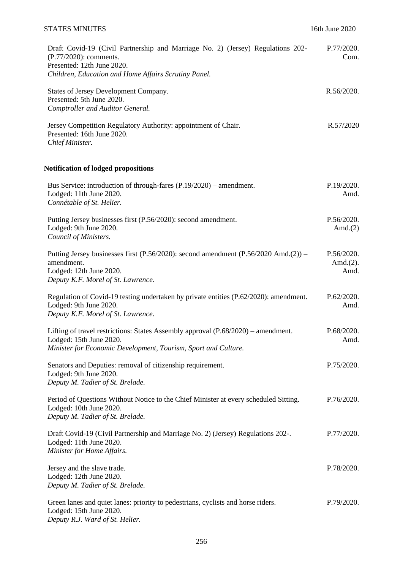# STATES MINUTES 16th June 2020

| Draft Covid-19 (Civil Partnership and Marriage No. 2) (Jersey) Regulations 202-<br>(P.77/2020): comments.<br>Presented: 12th June 2020.<br>Children, Education and Home Affairs Scrutiny Panel. | P.77/2020.<br>Com.                 |
|-------------------------------------------------------------------------------------------------------------------------------------------------------------------------------------------------|------------------------------------|
| States of Jersey Development Company.<br>Presented: 5th June 2020.<br>Comptroller and Auditor General.                                                                                          | R.56/2020.                         |
| Jersey Competition Regulatory Authority: appointment of Chair.<br>Presented: 16th June 2020.<br>Chief Minister.                                                                                 | R.57/2020                          |
| <b>Notification of lodged propositions</b>                                                                                                                                                      |                                    |
| Bus Service: introduction of through-fares $(P.19/2020)$ – amendment.<br>Lodged: 11th June 2020.<br>Connétable of St. Helier.                                                                   | P.19/2020.<br>Amd.                 |
| Putting Jersey businesses first (P.56/2020): second amendment.<br>Lodged: 9th June 2020.<br>Council of Ministers.                                                                               | P.56/2020.<br>Amd. $(2)$           |
| Putting Jersey businesses first $(P.56/2020)$ : second amendment $(P.56/2020 \text{ Amd}.(2))$ -<br>amendment.<br>Lodged: 12th June 2020.<br>Deputy K.F. Morel of St. Lawrence.                 | P.56/2020.<br>Amd. $(2)$ .<br>Amd. |
| Regulation of Covid-19 testing undertaken by private entities (P.62/2020): amendment.<br>Lodged: 9th June 2020.<br>Deputy K.F. Morel of St. Lawrence.                                           | P.62/2020.<br>Amd.                 |
| Lifting of travel restrictions: States Assembly approval (P.68/2020) – amendment.<br>Lodged: 15th June 2020.<br>Minister for Economic Development, Tourism, Sport and Culture.                  | P.68/2020.<br>Amd.                 |
| Senators and Deputies: removal of citizenship requirement.<br>Lodged: 9th June 2020.<br>Deputy M. Tadier of St. Brelade.                                                                        | P.75/2020.                         |
| Period of Questions Without Notice to the Chief Minister at every scheduled Sitting.<br>Lodged: 10th June 2020.<br>Deputy M. Tadier of St. Brelade.                                             | P.76/2020.                         |
| Draft Covid-19 (Civil Partnership and Marriage No. 2) (Jersey) Regulations 202-.<br>Lodged: 11th June 2020.<br>Minister for Home Affairs.                                                       | P.77/2020.                         |
| Jersey and the slave trade.<br>Lodged: 12th June 2020.<br>Deputy M. Tadier of St. Brelade.                                                                                                      | P.78/2020.                         |
| Green lanes and quiet lanes: priority to pedestrians, cyclists and horse riders.<br>Lodged: 15th June 2020.<br>Deputy R.J. Ward of St. Helier.                                                  | P.79/2020.                         |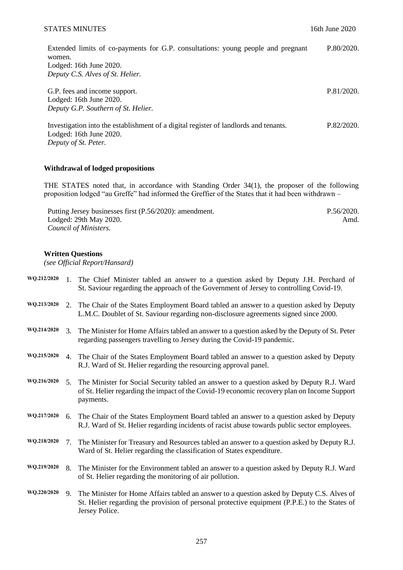## STATES MINUTES 3000 16th June 2020

P.81/2020.

| Extended limits of co-payments for G.P. consultations: young people and pregnant | P.80/2020. |
|----------------------------------------------------------------------------------|------------|
| women.                                                                           |            |
| Lodged: $16th$ June $2020$ .                                                     |            |
| Deputy C.S. Alves of St. Helier.                                                 |            |
|                                                                                  |            |

G.P. fees and income support. Lodged: 16th June 2020. *Deputy G.P. Southern of St. Helier.*

Investigation into the establishment of a digital register of landlords and tenants. Lodged: 16th June 2020. *Deputy of St. Peter.* P.82/2020.

# **Withdrawal of lodged propositions**

THE STATES noted that, in accordance with Standing Order 34(1), the proposer of the following proposition lodged "au Greffe" had informed the Greffier of the States that it had been withdrawn –

Putting Jersey businesses first (P.56/2020): amendment. Lodged: 29th May 2020. *Council of Ministers.* P.56/2020. [Amd.](https://statesassembly.gov.je/AssemblyPropositions/2020/P.56-2020Amd.pdf)

#### **Written Questions**

*(see Official Report/Hansard)*

| WQ.212/2020 |                                 | 1. The Chief Minister tabled an answer to a question asked by Deputy J.H. Perchard of<br>St. Saviour regarding the approach of the Government of Jersey to controlling Covid-19.                              |
|-------------|---------------------------------|---------------------------------------------------------------------------------------------------------------------------------------------------------------------------------------------------------------|
| WQ.213/2020 |                                 | 2. The Chair of the States Employment Board tabled an answer to a question asked by Deputy<br>L.M.C. Doublet of St. Saviour regarding non-disclosure agreements signed since 2000.                            |
| WQ.214/2020 | 3.                              | The Minister for Home Affairs tabled an answer to a question asked by the Deputy of St. Peter<br>regarding passengers travelling to Jersey during the Covid-19 pandemic.                                      |
| WQ.215/2020 |                                 | 4. The Chair of the States Employment Board tabled an answer to a question asked by Deputy<br>R.J. Ward of St. Helier regarding the resourcing approval panel.                                                |
| WQ.216/2020 | 5 <sub>1</sub>                  | The Minister for Social Security tabled an answer to a question asked by Deputy R.J. Ward<br>of St. Helier regarding the impact of the Covid-19 economic recovery plan on Income Support<br>payments.         |
| WQ.217/2020 | 6.                              | The Chair of the States Employment Board tabled an answer to a question asked by Deputy<br>R.J. Ward of St. Helier regarding incidents of racist abuse towards public sector employees.                       |
| WQ.218/2020 | $7_{\scriptscriptstyle{\star}}$ | The Minister for Treasury and Resources tabled an answer to a question asked by Deputy R.J.<br>Ward of St. Helier regarding the classification of States expenditure.                                         |
| WQ.219/2020 | 8.                              | The Minister for the Environment tabled an answer to a question asked by Deputy R.J. Ward<br>of St. Helier regarding the monitoring of air pollution.                                                         |
| WQ.220/2020 | 9.                              | The Minister for Home Affairs tabled an answer to a question asked by Deputy C.S. Alves of<br>St. Helier regarding the provision of personal protective equipment (P.P.E.) to the States of<br>Jersey Police. |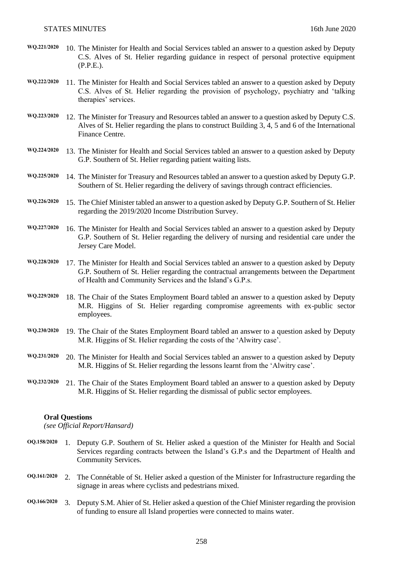- **WQ.221/2020** 10. The Minister for Health and Social Services tabled an answer to a question asked by Deputy C.S. Alves of St. Helier regarding guidance in respect of personal protective equipment (P.P.E.).
- **WQ.222/2020** 11. The Minister for Health and Social Services tabled an answer to a question asked by Deputy C.S. Alves of St. Helier regarding the provision of psychology, psychiatry and 'talking therapies' services.
- **WQ.223/2020** 12. The Minister for Treasury and Resources tabled an answer to a question asked by Deputy C.S. Alves of St. Helier regarding the plans to construct Building 3, 4, 5 and 6 of the International Finance Centre.
- **WQ.224/2020** 13. The Minister for Health and Social Services tabled an answer to a question asked by Deputy G.P. Southern of St. Helier regarding patient waiting lists.
- **WQ.225/2020** 14. The Minister for Treasury and Resources tabled an answer to a question asked by Deputy G.P. Southern of St. Helier regarding the delivery of savings through contract efficiencies.
- **WQ.226/2020** 15. The Chief Minister tabled an answer to a question asked by Deputy G.P. Southern of St. Helier regarding the 2019/2020 Income Distribution Survey.
- **WQ.227/2020** 16. The Minister for Health and Social Services tabled an answer to a question asked by Deputy G.P. Southern of St. Helier regarding the delivery of nursing and residential care under the Jersey Care Model.
- **WQ.228/2020** 17. The Minister for Health and Social Services tabled an answer to a question asked by Deputy G.P. Southern of St. Helier regarding the contractual arrangements between the Department of Health and Community Services and the Island's G.P.s.
- **WQ.229/2020** 18. The Chair of the States Employment Board tabled an answer to a question asked by Deputy M.R. Higgins of St. Helier regarding compromise agreements with ex-public sector employees.
- **WQ.230/2020** 19. The Chair of the States Employment Board tabled an answer to a question asked by Deputy M.R. Higgins of St. Helier regarding the costs of the 'Alwitry case'.
- **WQ.231/2020** 20. The Minister for Health and Social Services tabled an answer to a question asked by Deputy M.R. Higgins of St. Helier regarding the lessons learnt from the 'Alwitry case'.
- **WQ.232/2020** 21. The Chair of the States Employment Board tabled an answer to a question asked by Deputy M.R. Higgins of St. Helier regarding the dismissal of public sector employees.

#### **Oral Questions**

*(see Official Report/Hansard)*

- **OQ.158/2020** 1. Deputy G.P. Southern of St. Helier asked a question of the Minister for Health and Social Services regarding contracts between the Island's G.P.s and the Department of Health and Community Services.
- **OQ.161/2020** 2. The Connétable of St. Helier asked a question of the Minister for Infrastructure regarding the signage in areas where cyclists and pedestrians mixed.
- **OQ.166/2020** 3. Deputy S.M. Ahier of St. Helier asked a question of the Chief Minister regarding the provision of funding to ensure all Island properties were connected to mains water.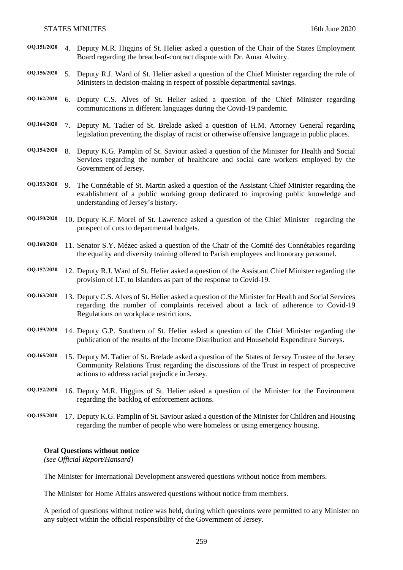- **OQ.151/2020** 4. Deputy M.R. Higgins of St. Helier asked a question of the Chair of the States Employment Board regarding the breach-of-contract dispute with Dr. Amar Alwitry.
- **OQ.156/2020** 5. Deputy R.J. Ward of St. Helier asked a question of the Chief Minister regarding the role of Ministers in decision-making in respect of possible departmental savings.
- **OQ.162/2020** 6. Deputy C.S. Alves of St. Helier asked a question of the Chief Minister regarding communications in different languages during the Covid-19 pandemic.
- **OQ.164/2020** 7. Deputy M. Tadier of St. Brelade asked a question of H.M. Attorney General regarding legislation preventing the display of racist or otherwise offensive language in public places.
- **OQ.154/2020** 8. Deputy K.G. Pamplin of St. Saviour asked a question of the Minister for Health and Social Services regarding the number of healthcare and social care workers employed by the Government of Jersey.
- **OQ.153/2020** 9. The Connétable of St. Martin asked a question of the Assistant Chief Minister regarding the establishment of a public working group dedicated to improving public knowledge and understanding of Jersey's history.
- **OQ.150/2020** 10. Deputy K.F. Morel of St. Lawrence asked a question of the Chief Minister regarding the prospect of cuts to departmental budgets.
- **OQ.160/2020** 11. Senator S.Y. Mézec asked a question of the Chair of the Comité des Connétables regarding the equality and diversity training offered to Parish employees and honorary personnel.
- **OQ.157/2020** 12. Deputy R.J. Ward of St. Helier asked a question of the Assistant Chief Minister regarding the provision of I.T. to Islanders as part of the response to Covid-19.
- **OQ.163/2020** 13. Deputy C.S. Alves of St. Helier asked a question of the Minister for Health and Social Services regarding the number of complaints received about a lack of adherence to Covid-19 Regulations on workplace restrictions.
- **OQ.159/2020** 14. Deputy G.P. Southern of St. Helier asked a question of the Chief Minister regarding the publication of the results of the Income Distribution and Household Expenditure Surveys.
- **OQ.165/2020** 15. Deputy M. Tadier of St. Brelade asked a question of the States of Jersey Trustee of the Jersey Community Relations Trust regarding the discussions of the Trust in respect of prospective actions to address racial prejudice in Jersey.
- **OQ.152/2020** 16. Deputy M.R. Higgins of St. Helier asked a question of the Minister for the Environment regarding the backlog of enforcement actions.
- **OQ.155/2020** 17. Deputy K.G. Pamplin of St. Saviour asked a question of the Minister for Children and Housing regarding the number of people who were homeless or using emergency housing.

#### **Oral Questions without notice**

*(see Official Report/Hansard)*

The Minister for International Development answered questions without notice from members.

The Minister for Home Affairs answered questions without notice from members.

A period of questions without notice was held, during which questions were permitted to any Minister on any subject within the official responsibility of the Government of Jersey.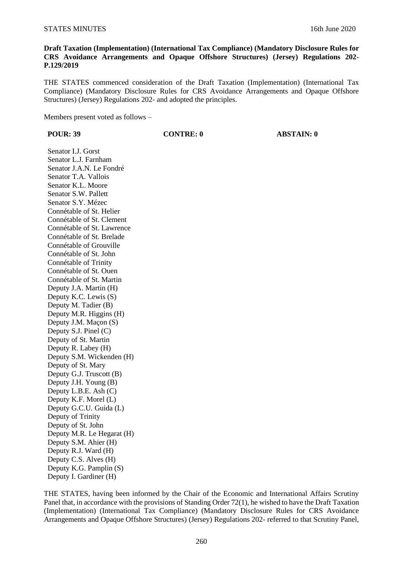# **Draft Taxation (Implementation) (International Tax Compliance) (Mandatory Disclosure Rules for CRS Avoidance Arrangements and Opaque Offshore Structures) (Jersey) Regulations 202- P.129/2019**

THE STATES commenced consideration of the Draft Taxation (Implementation) (International Tax Compliance) (Mandatory Disclosure Rules for CRS Avoidance Arrangements and Opaque Offshore Structures) (Jersey) Regulations 202- and adopted the principles.

Members present voted as follows –

**POUR: 39 CONTRE: 0 ABSTAIN: 0**

Senator I.J. Gorst Senator L.J. Farnham Senator J.A.N. Le Fondré Senator T.A. Vallois Senator K.L. Moore Senator S.W. Pallett Senator S.Y. Mézec Connétable of St. Helier Connétable of St. Clement Connétable of St. Lawrence Connétable of St. Brelade Connétable of Grouville Connétable of St. John Connétable of Trinity Connétable of St. Ouen Connétable of St. Martin Deputy J.A. Martin (H) Deputy K.C. Lewis (S) Deputy M. Tadier (B) Deputy M.R. Higgins (H) Deputy J.M. Maçon (S) Deputy S.J. Pinel (C) Deputy of St. Martin Deputy R. Labey (H) Deputy S.M. Wickenden (H) Deputy of St. Mary Deputy G.J. Truscott (B) Deputy J.H. Young (B) Deputy L.B.E. Ash (C) Deputy K.F. Morel (L) Deputy G.C.U. Guida (L) Deputy of Trinity Deputy of St. John Deputy M.R. Le Hegarat (H) Deputy S.M. Ahier (H) Deputy R.J. Ward (H) Deputy C.S. Alves (H) Deputy K.G. Pamplin (S) Deputy I. Gardiner (H)

THE STATES, having been informed by the Chair of the Economic and International Affairs Scrutiny Panel that, in accordance with the provisions of Standing Order 72(1), he wished to have the Draft Taxation (Implementation) (International Tax Compliance) (Mandatory Disclosure Rules for CRS Avoidance Arrangements and Opaque Offshore Structures) (Jersey) Regulations 202- referred to that Scrutiny Panel,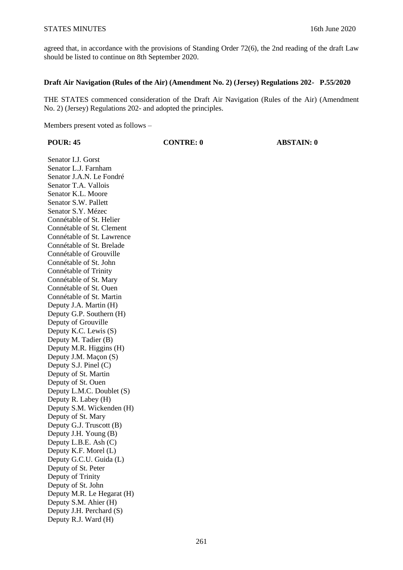agreed that, in accordance with the provisions of Standing Order 72(6), the 2nd reading of the draft Law should be listed to continue on 8th September 2020.

## **Draft Air Navigation (Rules of the Air) (Amendment No. 2) (Jersey) Regulations 202- P.55/2020**

THE STATES commenced consideration of the Draft Air Navigation (Rules of the Air) (Amendment No. 2) (Jersey) Regulations 202- and adopted the principles.

Members present voted as follows –

**POUR: 45 CONTRE: 0 ABSTAIN: 0**

Senator I.J. Gorst Senator L.J. Farnham Senator J.A.N. Le Fondré Senator T.A. Vallois Senator K.L. Moore Senator S.W. Pallett Senator S.Y. Mézec Connétable of St. Helier Connétable of St. Clement Connétable of St. Lawrence Connétable of St. Brelade Connétable of Grouville Connétable of St. John Connétable of Trinity Connétable of St. Mary Connétable of St. Ouen Connétable of St. Martin Deputy J.A. Martin (H) Deputy G.P. Southern (H) Deputy of Grouville Deputy K.C. Lewis (S) Deputy M. Tadier (B) Deputy M.R. Higgins (H) Deputy J.M. Maçon (S) Deputy S.J. Pinel (C) Deputy of St. Martin Deputy of St. Ouen Deputy L.M.C. Doublet (S) Deputy R. Labey (H) Deputy S.M. Wickenden (H) Deputy of St. Mary Deputy G.J. Truscott (B) Deputy J.H. Young (B) Deputy L.B.E. Ash (C) Deputy K.F. Morel (L) Deputy G.C.U. Guida (L) Deputy of St. Peter Deputy of Trinity Deputy of St. John Deputy M.R. Le Hegarat (H) Deputy S.M. Ahier (H) Deputy J.H. Perchard (S) Deputy R.J. Ward (H)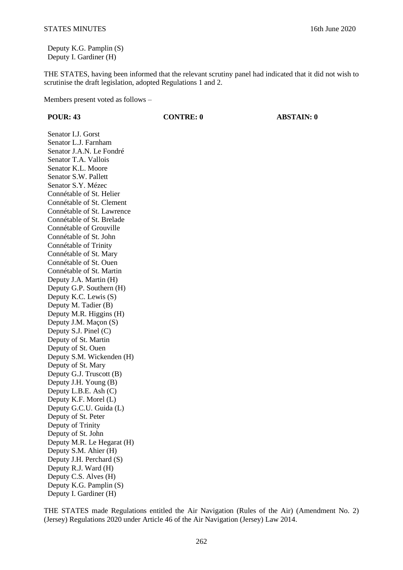Deputy K.G. Pamplin (S) Deputy I. Gardiner (H)

THE STATES, having been informed that the relevant scrutiny panel had indicated that it did not wish to scrutinise the draft legislation, adopted Regulations 1 and 2.

Members present voted as follows –

**POUR: 43 CONTRE: 0 ABSTAIN: 0**

Senator I.J. Gorst Senator L.J. Farnham Senator J.A.N. Le Fondré Senator T.A. Vallois Senator K.L. Moore Senator S.W. Pallett Senator S.Y. Mézec Connétable of St. Helier Connétable of St. Clement Connétable of St. Lawrence Connétable of St. Brelade Connétable of Grouville Connétable of St. John Connétable of Trinity Connétable of St. Mary Connétable of St. Ouen Connétable of St. Martin Deputy J.A. Martin (H) Deputy G.P. Southern (H) Deputy K.C. Lewis (S) Deputy M. Tadier (B) Deputy M.R. Higgins (H) Deputy J.M. Maçon (S) Deputy S.J. Pinel (C) Deputy of St. Martin Deputy of St. Ouen Deputy S.M. Wickenden (H) Deputy of St. Mary Deputy G.J. Truscott (B) Deputy J.H. Young (B) Deputy L.B.E. Ash (C) Deputy K.F. Morel (L) Deputy G.C.U. Guida (L) Deputy of St. Peter Deputy of Trinity Deputy of St. John Deputy M.R. Le Hegarat (H) Deputy S.M. Ahier (H) Deputy J.H. Perchard (S) Deputy R.J. Ward (H) Deputy C.S. Alves (H) Deputy K.G. Pamplin (S) Deputy I. Gardiner (H)

THE STATES made Regulations entitled the Air Navigation (Rules of the Air) (Amendment No. 2) (Jersey) Regulations 2020 under Article 46 of the Air Navigation (Jersey) Law 2014.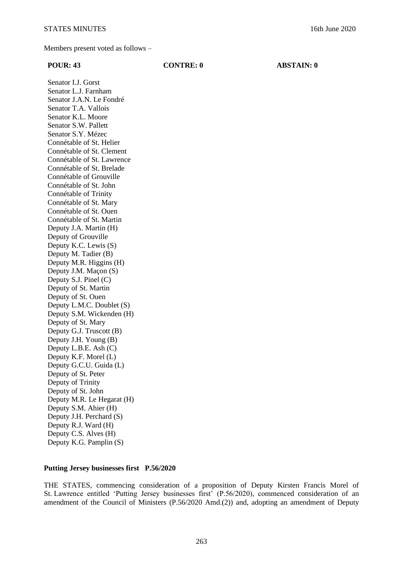#### **POUR: 43 CONTRE: 0 ABSTAIN: 0**

Senator I.J. Gorst Senator L.J. Farnham Senator J.A.N. Le Fondré Senator T.A. Vallois Senator K.L. Moore Senator S.W. Pallett Senator S.Y. Mézec Connétable of St. Helier Connétable of St. Clement Connétable of St. Lawrence Connétable of St. Brelade Connétable of Grouville Connétable of St. John Connétable of Trinity Connétable of St. Mary Connétable of St. Ouen Connétable of St. Martin Deputy J.A. Martin (H) Deputy of Grouville Deputy K.C. Lewis (S) Deputy M. Tadier (B) Deputy M.R. Higgins (H) Deputy J.M. Maçon (S) Deputy S.J. Pinel (C) Deputy of St. Martin Deputy of St. Ouen Deputy L.M.C. Doublet (S) Deputy S.M. Wickenden (H) Deputy of St. Mary Deputy G.J. Truscott (B) Deputy J.H. Young (B) Deputy L.B.E. Ash (C) Deputy K.F. Morel (L) Deputy G.C.U. Guida (L) Deputy of St. Peter Deputy of Trinity Deputy of St. John Deputy M.R. Le Hegarat (H) Deputy S.M. Ahier (H) Deputy J.H. Perchard (S) Deputy R.J. Ward (H) Deputy C.S. Alves (H) Deputy K.G. Pamplin (S)

### **Putting Jersey businesses first P.56/2020**

THE STATES, commencing consideration of a proposition of Deputy Kirsten Francis Morel of St. Lawrence entitled 'Putting Jersey businesses first' (P.56/2020), commenced consideration of an amendment of the Council of Ministers (P.56/2020 Amd.(2)) and, adopting an amendment of Deputy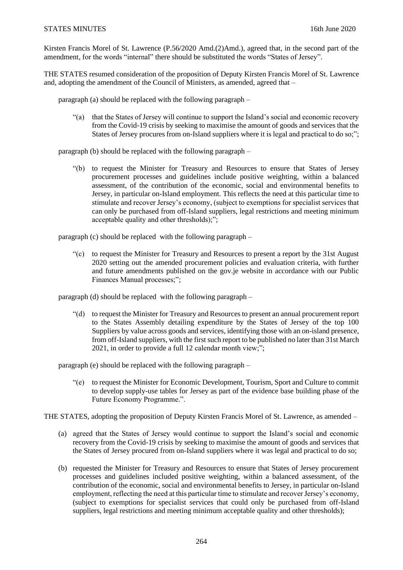Kirsten Francis Morel of St. Lawrence (P.56/2020 Amd.(2)Amd.), agreed that, in the second part of the amendment, for the words "internal" there should be substituted the words "States of Jersey".

THE STATES resumed consideration of the proposition of Deputy Kirsten Francis Morel of St. Lawrence and, adopting the amendment of the Council of Ministers, as amended, agreed that –

paragraph (a) should be replaced with the following paragraph –

"(a) that the States of Jersey will continue to support the Island's social and economic recovery from the Covid-19 crisis by seeking to maximise the amount of goods and services that the States of Jersey procures from on-Island suppliers where it is legal and practical to do so;";

paragraph (b) should be replaced with the following paragraph –

"(b) to request the Minister for Treasury and Resources to ensure that States of Jersey procurement processes and guidelines include positive weighting, within a balanced assessment, of the contribution of the economic, social and environmental benefits to Jersey, in particular on-Island employment. This reflects the need at this particular time to stimulate and recover Jersey's economy, (subject to exemptions for specialist services that can only be purchased from off-Island suppliers, legal restrictions and meeting minimum acceptable quality and other thresholds);";

paragraph (c) should be replaced with the following paragraph –

"(c) to request the Minister for Treasury and Resources to present a report by the 31st August 2020 setting out the amended procurement policies and evaluation criteria, with further and future amendments published on the gov.je website in accordance with our Public Finances Manual processes;";

paragraph (d) should be replaced with the following paragraph –

"(d) to request the Minister for Treasury and Resources to present an annual procurement report to the States Assembly detailing expenditure by the States of Jersey of the top 100 Suppliers by value across goods and services, identifying those with an on-island presence, from off-Island suppliers, with the first such report to be published no later than 31st March 2021, in order to provide a full 12 calendar month view;";

paragraph (e) should be replaced with the following paragraph –

"(e) to request the Minister for Economic Development, Tourism, Sport and Culture to commit to develop supply-use tables for Jersey as part of the evidence base building phase of the Future Economy Programme.".

THE STATES, adopting the proposition of Deputy Kirsten Francis Morel of St. Lawrence, as amended –

- (a) agreed that the States of Jersey would continue to support the Island's social and economic recovery from the Covid-19 crisis by seeking to maximise the amount of goods and services that the States of Jersey procured from on-Island suppliers where it was legal and practical to do so;
- (b) requested the Minister for Treasury and Resources to ensure that States of Jersey procurement processes and guidelines included positive weighting, within a balanced assessment, of the contribution of the economic, social and environmental benefits to Jersey, in particular on-Island employment, reflecting the need at this particular time to stimulate and recover Jersey's economy, (subject to exemptions for specialist services that could only be purchased from off-Island suppliers, legal restrictions and meeting minimum acceptable quality and other thresholds);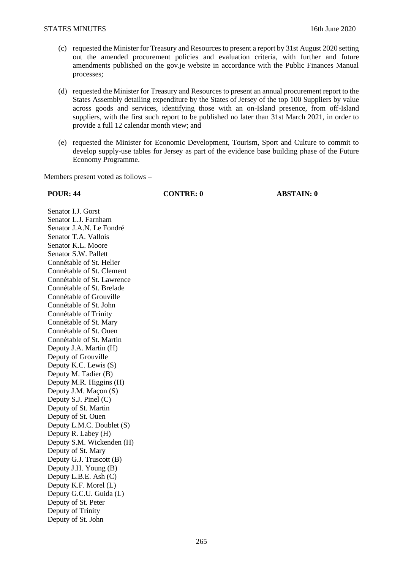- (c) requested the Minister for Treasury and Resources to present a report by 31st August 2020 setting out the amended procurement policies and evaluation criteria, with further and future amendments published on the gov.je website in accordance with the Public Finances Manual processes;
- (d) requested the Minister for Treasury and Resources to present an annual procurement report to the States Assembly detailing expenditure by the States of Jersey of the top 100 Suppliers by value across goods and services, identifying those with an on-Island presence, from off-Island suppliers, with the first such report to be published no later than 31st March 2021, in order to provide a full 12 calendar month view; and
- (e) requested the Minister for Economic Development, Tourism, Sport and Culture to commit to develop supply-use tables for Jersey as part of the evidence base building phase of the Future Economy Programme.

Members present voted as follows –

**POUR: 44 CONTRE: 0 ABSTAIN: 0**

Senator I.J. Gorst Senator L.J. Farnham Senator J.A.N. Le Fondré Senator T.A. Vallois Senator K.L. Moore Senator S.W. Pallett Connétable of St. Helier Connétable of St. Clement Connétable of St. Lawrence Connétable of St. Brelade Connétable of Grouville Connétable of St. John Connétable of Trinity Connétable of St. Mary Connétable of St. Ouen Connétable of St. Martin Deputy J.A. Martin (H) Deputy of Grouville Deputy K.C. Lewis (S) Deputy M. Tadier (B) Deputy M.R. Higgins (H) Deputy J.M. Maçon (S) Deputy S.J. Pinel (C) Deputy of St. Martin Deputy of St. Ouen Deputy L.M.C. Doublet (S) Deputy R. Labey (H) Deputy S.M. Wickenden (H) Deputy of St. Mary Deputy G.J. Truscott (B) Deputy J.H. Young (B) Deputy L.B.E. Ash (C) Deputy K.F. Morel (L) Deputy G.C.U. Guida (L) Deputy of St. Peter Deputy of Trinity Deputy of St. John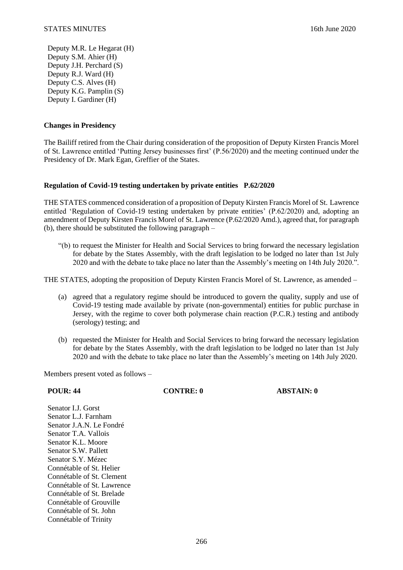Deputy M.R. Le Hegarat (H) Deputy S.M. Ahier (H) Deputy J.H. Perchard (S) Deputy R.J. Ward (H) Deputy C.S. Alves (H) Deputy K.G. Pamplin (S) Deputy I. Gardiner (H)

## **Changes in Presidency**

The Bailiff retired from the Chair during consideration of the proposition of Deputy Kirsten Francis Morel of St. Lawrence entitled 'Putting Jersey businesses first' (P.56/2020) and the meeting continued under the Presidency of Dr. Mark Egan, Greffier of the States.

### **Regulation of Covid-19 testing undertaken by private entities P.62/2020**

THE STATES commenced consideration of a proposition of Deputy Kirsten Francis Morel of St. Lawrence entitled 'Regulation of Covid-19 testing undertaken by private entities' (P.62/2020) and, adopting an amendment of Deputy Kirsten Francis Morel of St. Lawrence (P.62/2020 Amd.), agreed that, for paragraph (b), there should be substituted the following paragraph –

"(b) to request the Minister for Health and Social Services to bring forward the necessary legislation for debate by the States Assembly, with the draft legislation to be lodged no later than 1st July 2020 and with the debate to take place no later than the Assembly's meeting on 14th July 2020.".

THE STATES, adopting the proposition of Deputy Kirsten Francis Morel of St. Lawrence, as amended –

- (a) agreed that a regulatory regime should be introduced to govern the quality, supply and use of Covid-19 testing made available by private (non-governmental) entities for public purchase in Jersey, with the regime to cover both polymerase chain reaction (P.C.R.) testing and antibody (serology) testing; and
- (b) requested the Minister for Health and Social Services to bring forward the necessary legislation for debate by the States Assembly, with the draft legislation to be lodged no later than 1st July 2020 and with the debate to take place no later than the Assembly's meeting on 14th July 2020.

Members present voted as follows –

| Senator L.J. Gorst          |
|-----------------------------|
| Senator L.J. Farnham        |
| Senator J.A.N. Le Fondré    |
| Senator T.A. Vallois        |
| Senator K.L. Moore          |
| <b>Senator S.W. Pallett</b> |
| Senator S.Y. Mézec          |
| Connétable of St. Helier    |
| Connétable of St. Clement   |
| Connétable of St. Lawrence  |
| Connétable of St. Brelade   |
| Connétable of Grouville     |
| Connétable of St. John      |
| Connétable of Trinity       |
|                             |

**POUR: 44 CONTRE: 0 ABSTAIN: 0**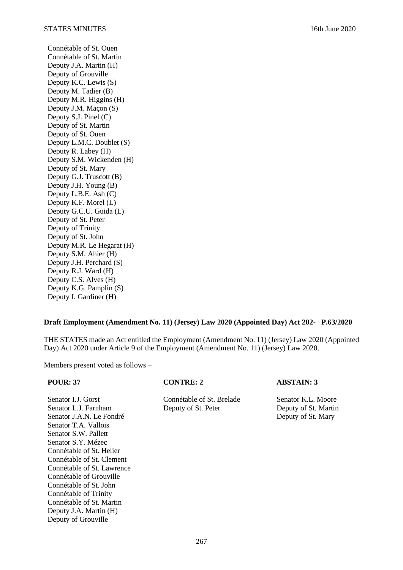Connétable of St. Ouen Connétable of St. Martin Deputy J.A. Martin (H) Deputy of Grouville Deputy K.C. Lewis (S) Deputy M. Tadier (B) Deputy M.R. Higgins (H) Deputy J.M. Maçon (S) Deputy S.J. Pinel (C) Deputy of St. Martin Deputy of St. Ouen Deputy L.M.C. Doublet (S) Deputy R. Labey (H) Deputy S.M. Wickenden (H) Deputy of St. Mary Deputy G.J. Truscott (B) Deputy J.H. Young (B) Deputy L.B.E. Ash (C) Deputy K.F. Morel (L) Deputy G.C.U. Guida (L) Deputy of St. Peter Deputy of Trinity Deputy of St. John Deputy M.R. Le Hegarat (H) Deputy S.M. Ahier (H) Deputy J.H. Perchard (S) Deputy R.J. Ward (H) Deputy C.S. Alves (H) Deputy K.G. Pamplin (S) Deputy I. Gardiner (H)

# **Draft Employment (Amendment No. 11) (Jersey) Law 2020 (Appointed Day) Act 202- P.63/2020**

THE STATES made an Act entitled the Employment (Amendment No. 11) (Jersey) Law 2020 (Appointed Day) Act 2020 under Article 9 of the Employment (Amendment No. 11) (Jersey) Law 2020.

Members present voted as follows –

| <b>POUR: 37</b>            | <b>CONTRE: 2</b>          | <b>ABSTAIN: 3</b>    |
|----------------------------|---------------------------|----------------------|
| Senator L.J. Gorst         | Connétable of St. Brelade | Senator K.L. Moore   |
| Senator L.J. Farnham       | Deputy of St. Peter       | Deputy of St. Martin |
| Senator J.A.N. Le Fondré   |                           | Deputy of St. Mary   |
| Senator T.A. Vallois       |                           |                      |
| Senator S.W. Pallett       |                           |                      |
| Senator S.Y. Mézec         |                           |                      |
| Connétable of St. Helier   |                           |                      |
| Connétable of St. Clement  |                           |                      |
| Connétable of St. Lawrence |                           |                      |
| Connétable of Grouville    |                           |                      |
| Connétable of St. John     |                           |                      |
| Connétable of Trinity      |                           |                      |
| Connétable of St. Martin   |                           |                      |
| Deputy J.A. Martin (H)     |                           |                      |
| Deputy of Grouville        |                           |                      |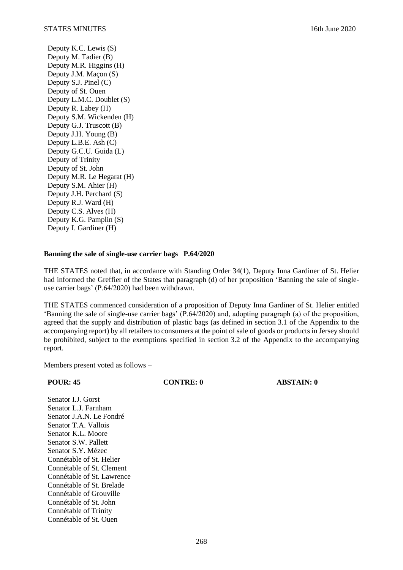Deputy K.C. Lewis (S) Deputy M. Tadier (B) Deputy M.R. Higgins (H) Deputy J.M. Maçon (S) Deputy S.J. Pinel (C) Deputy of St. Ouen Deputy L.M.C. Doublet (S) Deputy R. Labey (H) Deputy S.M. Wickenden (H) Deputy G.J. Truscott (B) Deputy J.H. Young (B) Deputy L.B.E. Ash (C) Deputy G.C.U. Guida (L) Deputy of Trinity Deputy of St. John Deputy M.R. Le Hegarat (H) Deputy S.M. Ahier (H) Deputy J.H. Perchard (S) Deputy R.J. Ward (H) Deputy C.S. Alves (H) Deputy K.G. Pamplin (S) Deputy I. Gardiner (H)

### **Banning the sale of single-use carrier bags P.64/2020**

THE STATES noted that, in accordance with Standing Order 34(1), Deputy Inna Gardiner of St. Helier had informed the Greffier of the States that paragraph (d) of her proposition 'Banning the sale of singleuse carrier bags' (P.64/2020) had been withdrawn.

THE STATES commenced consideration of a proposition of Deputy Inna Gardiner of St. Helier entitled 'Banning the sale of single-use carrier bags' (P.64/2020) and, adopting paragraph (a) of the proposition, agreed that the supply and distribution of plastic bags (as defined in section 3.1 of the Appendix to the accompanying report) by all retailers to consumers at the point of sale of goods or products in Jersey should be prohibited, subject to the exemptions specified in section 3.2 of the Appendix to the accompanying report.

Members present voted as follows –

**POUR: 45 CONTRE: 0 ABSTAIN: 0**

Senator I.J. Gorst Senator L.J. Farnham Senator J.A.N. Le Fondré Senator T.A. Vallois Senator K.L. Moore Senator S.W. Pallett Senator S.Y. Mézec Connétable of St. Helier Connétable of St. Clement Connétable of St. Lawrence Connétable of St. Brelade Connétable of Grouville Connétable of St. John Connétable of Trinity Connétable of St. Ouen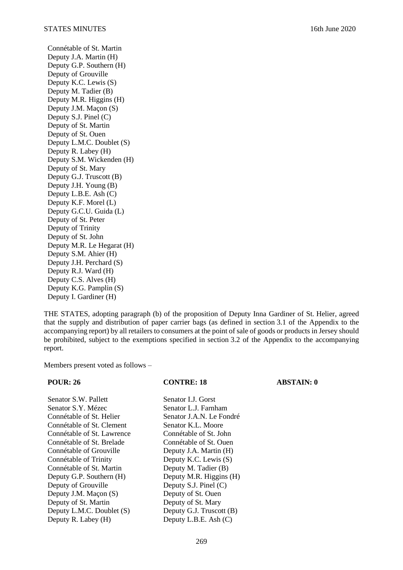Connétable of St. Martin Deputy J.A. Martin (H) Deputy G.P. Southern (H) Deputy of Grouville Deputy K.C. Lewis (S) Deputy M. Tadier (B) Deputy M.R. Higgins (H) Deputy J.M. Maçon (S) Deputy S.J. Pinel (C) Deputy of St. Martin Deputy of St. Ouen Deputy L.M.C. Doublet (S) Deputy R. Labey (H) Deputy S.M. Wickenden (H) Deputy of St. Mary Deputy G.J. Truscott (B) Deputy J.H. Young (B) Deputy L.B.E. Ash (C) Deputy K.F. Morel (L) Deputy G.C.U. Guida (L) Deputy of St. Peter Deputy of Trinity Deputy of St. John Deputy M.R. Le Hegarat (H) Deputy S.M. Ahier (H) Deputy J.H. Perchard (S) Deputy R.J. Ward (H) Deputy C.S. Alves (H) Deputy K.G. Pamplin (S) Deputy I. Gardiner (H)

THE STATES, adopting paragraph (b) of the proposition of Deputy Inna Gardiner of St. Helier, agreed that the supply and distribution of paper carrier bags (as defined in section 3.1 of the Appendix to the accompanying report) by all retailers to consumers at the point of sale of goods or products in Jersey should be prohibited, subject to the exemptions specified in section 3.2 of the Appendix to the accompanying report.

Members present voted as follows –

| <b>POUR: 26</b>            | <b>CONTRE: 18</b>        | <b>ABSTAIN: 0</b> |
|----------------------------|--------------------------|-------------------|
| Senator S.W. Pallett       | Senator L.J. Gorst       |                   |
| Senator S.Y. Mézec         | Senator L.J. Farnham     |                   |
| Connétable of St. Helier   | Senator J.A.N. Le Fondré |                   |
| Connétable of St. Clement  | Senator K.L. Moore       |                   |
| Connétable of St. Lawrence | Connétable of St. John   |                   |
| Connétable of St. Brelade  | Connétable of St. Ouen   |                   |
| Connétable of Grouville    | Deputy J.A. Martin (H)   |                   |
| Connétable of Trinity      | Deputy K.C. Lewis (S)    |                   |
| Connétable of St. Martin   | Deputy M. Tadier (B)     |                   |
| Deputy G.P. Southern (H)   | Deputy M.R. Higgins (H)  |                   |
| Deputy of Grouville        | Deputy S.J. Pinel $(C)$  |                   |
| Deputy J.M. Maçon (S)      | Deputy of St. Ouen       |                   |
| Deputy of St. Martin       | Deputy of St. Mary       |                   |
| Deputy L.M.C. Doublet (S)  | Deputy G.J. Truscott (B) |                   |
| Deputy R. Labey (H)        | Deputy L.B.E. Ash (C)    |                   |
|                            |                          |                   |

269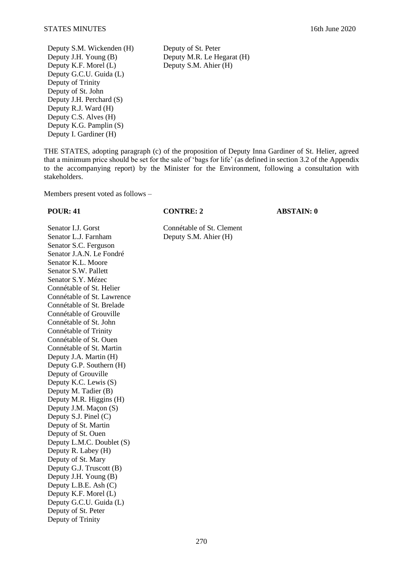Deputy S.M. Wickenden (H) Deputy of St. Peter<br>Deputy J.H. Young (B) Deputy M.R. Le He Deputy K.F. Morel  $(L)$ Deputy G.C.U. Guida (L) Deputy of Trinity Deputy of St. John Deputy J.H. Perchard (S) Deputy R.J. Ward (H) Deputy C.S. Alves (H) Deputy K.G. Pamplin (S) Deputy I. Gardiner (H)

Deputy M.R. Le Hegarat (H)<br>Deputy S.M. Ahier (H)

THE STATES, adopting paragraph (c) of the proposition of Deputy Inna Gardiner of St. Helier, agreed that a minimum price should be set for the sale of 'bags for life' (as defined in section 3.2 of the Appendix to the accompanying report) by the Minister for the Environment, following a consultation with stakeholders.

Members present voted as follows –

Senator I.J. Gorst<br>
Senator L.J. Farnham<br>
Deputy S.M. Ahier (H) Senator S.C. Ferguson Senator J.A.N. Le Fondré Senator K.L. Moore Senator S.W. Pallett Senator S.Y. Mézec Connétable of St. Helier Connétable of St. Lawrence Connétable of St. Brelade Connétable of Grouville Connétable of St. John Connétable of Trinity Connétable of St. Ouen Connétable of St. Martin Deputy J.A. Martin (H) Deputy G.P. Southern (H) Deputy of Grouville Deputy K.C. Lewis (S) Deputy M. Tadier (B) Deputy M.R. Higgins (H) Deputy J.M. Maçon (S) Deputy S.J. Pinel (C) Deputy of St. Martin Deputy of St. Ouen Deputy L.M.C. Doublet (S) Deputy R. Labey (H) Deputy of St. Mary Deputy G.J. Truscott (B) Deputy J.H. Young (B) Deputy L.B.E. Ash (C) Deputy K.F. Morel (L) Deputy G.C.U. Guida (L) Deputy of St. Peter Deputy of Trinity

**POUR: 41 CONTRE: 2 ABSTAIN: 0**

Deputy S.M. Ahier (H)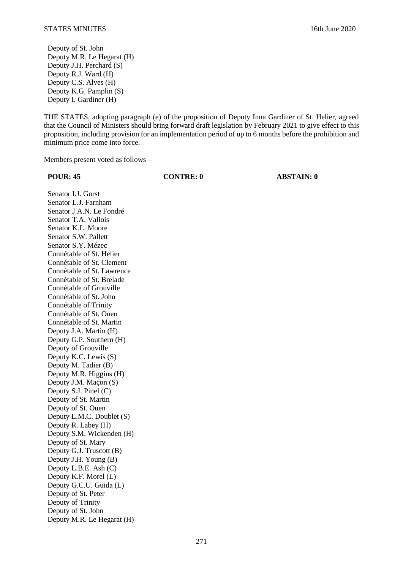Deputy of St. John Deputy M.R. Le Hegarat (H) Deputy J.H. Perchard (S) Deputy R.J. Ward (H) Deputy C.S. Alves (H) Deputy K.G. Pamplin (S) Deputy I. Gardiner (H)

THE STATES, adopting paragraph (e) of the proposition of Deputy Inna Gardiner of St. Helier, agreed that the Council of Ministers should bring forward draft legislation by February 2021 to give effect to this proposition, including provision for an implementation period of up to 6 months before the prohibition and minimum price come into force.

Members present voted as follows –

**POUR: 45 CONTRE: 0 ABSTAIN: 0**

Senator I.J. Gorst Senator L.J. Farnham Senator J.A.N. Le Fondré Senator T.A. Vallois Senator K.L. Moore Senator S.W. Pallett Senator S.Y. Mézec Connétable of St. Helier Connétable of St. Clement Connétable of St. Lawrence Connétable of St. Brelade Connétable of Grouville Connétable of St. John Connétable of Trinity Connétable of St. Ouen Connétable of St. Martin Deputy J.A. Martin (H) Deputy G.P. Southern (H) Deputy of Grouville Deputy K.C. Lewis (S) Deputy M. Tadier (B) Deputy M.R. Higgins (H) Deputy J.M. Maçon (S) Deputy S.J. Pinel (C) Deputy of St. Martin Deputy of St. Ouen Deputy L.M.C. Doublet (S) Deputy R. Labey (H) Deputy S.M. Wickenden (H) Deputy of St. Mary Deputy G.J. Truscott (B) Deputy J.H. Young (B) Deputy L.B.E. Ash (C) Deputy K.F. Morel (L) Deputy G.C.U. Guida (L) Deputy of St. Peter Deputy of Trinity Deputy of St. John Deputy M.R. Le Hegarat (H)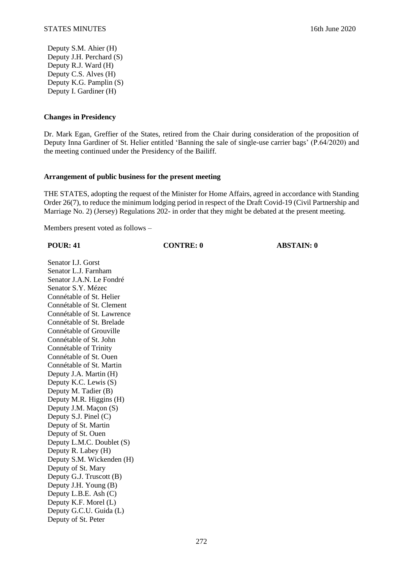Deputy S.M. Ahier (H) Deputy J.H. Perchard (S) Deputy R.J. Ward (H) Deputy C.S. Alves (H) Deputy K.G. Pamplin (S) Deputy I. Gardiner (H)

## **Changes in Presidency**

Dr. Mark Egan, Greffier of the States, retired from the Chair during consideration of the proposition of Deputy Inna Gardiner of St. Helier entitled 'Banning the sale of single-use carrier bags' (P.64/2020) and the meeting continued under the Presidency of the Bailiff.

### **Arrangement of public business for the present meeting**

THE STATES, adopting the request of the Minister for Home Affairs, agreed in accordance with Standing Order 26(7), to reduce the minimum lodging period in respect of the Draft Covid-19 (Civil Partnership and Marriage No. 2) (Jersey) Regulations 202- in order that they might be debated at the present meeting.

Members present voted as follows –

#### **POUR: 41 CONTRE: 0 ABSTAIN: 0**

Senator I.J. Gorst Senator L.J. Farnham Senator J.A.N. Le Fondré Senator S.Y. Mézec Connétable of St. Helier Connétable of St. Clement Connétable of St. Lawrence Connétable of St. Brelade Connétable of Grouville Connétable of St. John Connétable of Trinity Connétable of St. Ouen Connétable of St. Martin Deputy J.A. Martin (H) Deputy K.C. Lewis (S) Deputy M. Tadier (B) Deputy M.R. Higgins (H) Deputy J.M. Maçon (S) Deputy S.J. Pinel (C) Deputy of St. Martin Deputy of St. Ouen Deputy L.M.C. Doublet (S) Deputy R. Labey (H) Deputy S.M. Wickenden (H) Deputy of St. Mary Deputy G.J. Truscott (B) Deputy J.H. Young (B) Deputy L.B.E. Ash (C) Deputy K.F. Morel (L) Deputy G.C.U. Guida (L) Deputy of St. Peter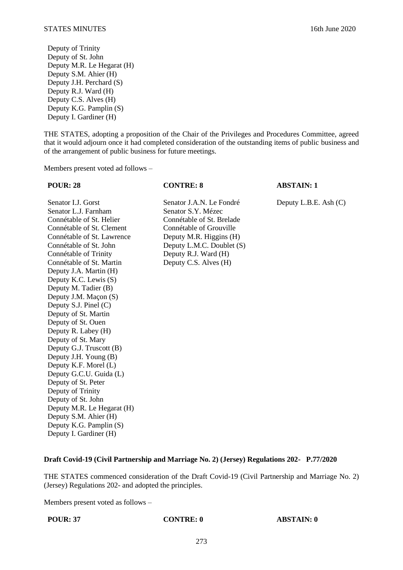Deputy of Trinity Deputy of St. John Deputy M.R. Le Hegarat (H) Deputy S.M. Ahier (H) Deputy J.H. Perchard (S) Deputy R.J. Ward (H) Deputy C.S. Alves (H) Deputy K.G. Pamplin (S) Deputy I. Gardiner (H)

THE STATES, adopting a proposition of the Chair of the Privileges and Procedures Committee, agreed that it would adjourn once it had completed consideration of the outstanding items of public business and of the arrangement of public business for future meetings.

Members present voted ad follows –

Senator I.J. Gorst Senator J.A.N. Le Fondré Deputy L.B.E. Ash (C) Senator L.J. Farnham Senator S.Y. Mézec<br>Connétable of St. Helier Connétable of St. Br Connétable of St. Clement Connétable of Grouville Connétable of St. Lawrence Deputy M.R. Higgins (H) Connétable of St. John Deputy L.M.C. Doublet (S) Connétable of Trinity Deputy R.J. Ward (H) Connétable of St. Martin Deputy C.S. Alves (H) Deputy J.A. Martin (H) Deputy K.C. Lewis (S) Deputy M. Tadier (B) Deputy J.M. Maçon (S) Deputy S.J. Pinel (C) Deputy of St. Martin Deputy of St. Ouen Deputy R. Labey (H) Deputy of St. Mary Deputy G.J. Truscott (B) Deputy J.H. Young (B) Deputy K.F. Morel (L) Deputy G.C.U. Guida (L) Deputy of St. Peter Deputy of Trinity Deputy of St. John Deputy M.R. Le Hegarat (H) Deputy S.M. Ahier (H) Deputy K.G. Pamplin (S) Deputy I. Gardiner (H)

# Connétable of St. Brelade

**POUR: 28 CONTRE: 8 ABSTAIN: 1**

## **Draft Covid-19 (Civil Partnership and Marriage No. 2) (Jersey) Regulations 202- P.77/2020**

THE STATES commenced consideration of the Draft Covid-19 (Civil Partnership and Marriage No. 2) (Jersey) Regulations 202- and adopted the principles.

Members present voted as follows –

**POUR: 37 CONTRE: 0 ABSTAIN: 0**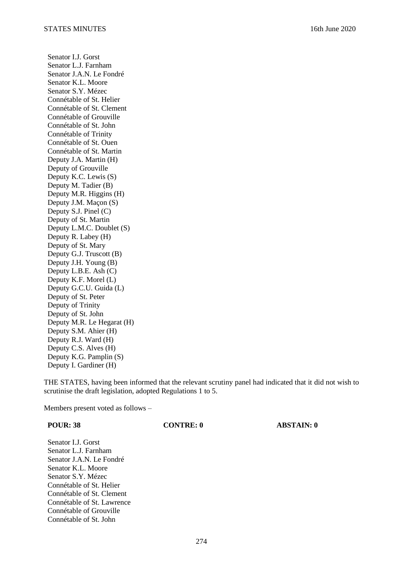Senator I.J. Gorst Senator L.J. Farnham Senator J.A.N. Le Fondré Senator K.L. Moore Senator S.Y. Mézec Connétable of St. Helier Connétable of St. Clement Connétable of Grouville Connétable of St. John Connétable of Trinity Connétable of St. Ouen Connétable of St. Martin Deputy J.A. Martin (H) Deputy of Grouville Deputy K.C. Lewis (S) Deputy M. Tadier (B) Deputy M.R. Higgins (H) Deputy J.M. Maçon (S) Deputy S.J. Pinel (C) Deputy of St. Martin Deputy L.M.C. Doublet (S) Deputy R. Labey (H) Deputy of St. Mary Deputy G.J. Truscott (B) Deputy J.H. Young (B) Deputy L.B.E. Ash (C) Deputy K.F. Morel (L) Deputy G.C.U. Guida (L) Deputy of St. Peter Deputy of Trinity Deputy of St. John Deputy M.R. Le Hegarat (H) Deputy S.M. Ahier (H) Deputy R.J. Ward (H) Deputy C.S. Alves (H) Deputy K.G. Pamplin (S) Deputy I. Gardiner (H)

THE STATES, having been informed that the relevant scrutiny panel had indicated that it did not wish to scrutinise the draft legislation, adopted Regulations 1 to 5.

**POUR: 38 CONTRE: 0 ABSTAIN: 0**

Members present voted as follows –

| <b>POUR: 38</b>            | <b>CONTRE: 0</b> |  |
|----------------------------|------------------|--|
| Senator L.J. Gorst         |                  |  |
| Senator L.J. Farnham       |                  |  |
| Senator J.A.N. Le Fondré   |                  |  |
| Senator K.L. Moore         |                  |  |
| Senator S.Y. Mézec         |                  |  |
| Connétable of St. Helier   |                  |  |
| Connétable of St. Clement  |                  |  |
| Connétable of St. Lawrence |                  |  |
| Connétable of Grouville    |                  |  |
| Connétable of St. John     |                  |  |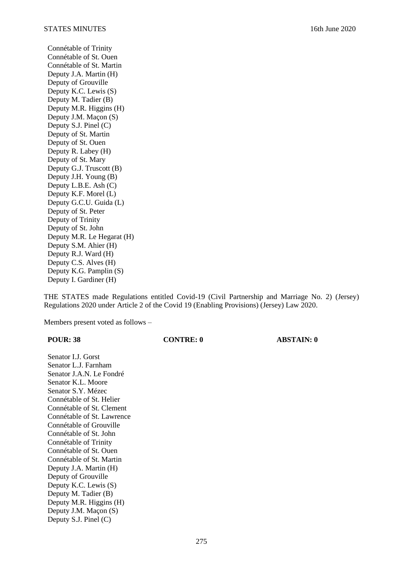Connétable of Trinity Connétable of St. Ouen Connétable of St. Martin Deputy J.A. Martin (H) Deputy of Grouville Deputy K.C. Lewis (S) Deputy M. Tadier (B) Deputy M.R. Higgins (H) Deputy J.M. Maçon (S) Deputy S.J. Pinel (C) Deputy of St. Martin Deputy of St. Ouen Deputy R. Labey (H) Deputy of St. Mary Deputy G.J. Truscott (B) Deputy J.H. Young (B) Deputy L.B.E. Ash (C) Deputy K.F. Morel (L) Deputy G.C.U. Guida (L) Deputy of St. Peter Deputy of Trinity Deputy of St. John Deputy M.R. Le Hegarat (H) Deputy S.M. Ahier (H) Deputy R.J. Ward (H) Deputy C.S. Alves (H) Deputy K.G. Pamplin (S) Deputy I. Gardiner (H)

THE STATES made Regulations entitled Covid-19 (Civil Partnership and Marriage No. 2) (Jersey) Regulations 2020 under Article 2 of the Covid 19 (Enabling Provisions) (Jersey) Law 2020.

Members present voted as follows –

Deputy M.R. Higgins (H) Deputy J.M. Maçon (S) Deputy S.J. Pinel (C)

| <b>POUR: 38</b>            | <b>CONTRE: 0</b> | <b>ABSTAIN: 0</b> |
|----------------------------|------------------|-------------------|
| Senator I.J. Gorst         |                  |                   |
| Senator L.J. Farnham       |                  |                   |
| Senator J.A.N. Le Fondré   |                  |                   |
| Senator K.L. Moore         |                  |                   |
| Senator S.Y. Mézec         |                  |                   |
| Connétable of St. Helier   |                  |                   |
| Connétable of St. Clement  |                  |                   |
| Connétable of St. Lawrence |                  |                   |
| Connétable of Grouville    |                  |                   |
| Connétable of St. John     |                  |                   |
| Connétable of Trinity      |                  |                   |
| Connétable of St. Ouen     |                  |                   |
| Connétable of St. Martin   |                  |                   |
| Deputy J.A. Martin (H)     |                  |                   |
| Deputy of Grouville        |                  |                   |
| Deputy K.C. Lewis (S)      |                  |                   |
| Deputy M. Tadier (B)       |                  |                   |

275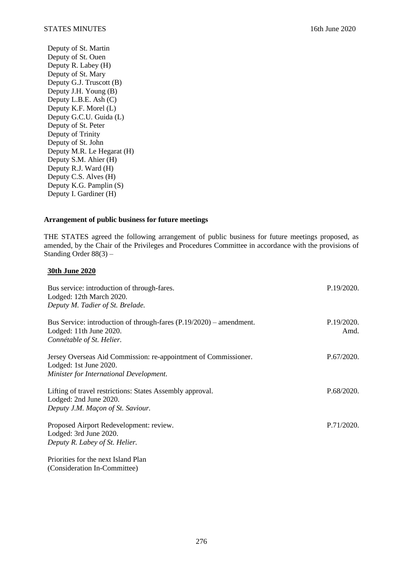Deputy of St. Martin Deputy of St. Ouen Deputy R. Labey (H) Deputy of St. Mary Deputy G.J. Truscott (B) Deputy J.H. Young (B) Deputy L.B.E. Ash (C) Deputy K.F. Morel (L) Deputy G.C.U. Guida (L) Deputy of St. Peter Deputy of Trinity Deputy of St. John Deputy M.R. Le Hegarat (H) Deputy S.M. Ahier (H) Deputy R.J. Ward (H) Deputy C.S. Alves (H) Deputy K.G. Pamplin (S) Deputy I. Gardiner (H)

## **Arrangement of public business for future meetings**

THE STATES agreed the following arrangement of public business for future meetings proposed, as amended, by the Chair of the Privileges and Procedures Committee in accordance with the provisions of Standing Order 88(3) –

# **30th June 2020**

| Bus service: introduction of through-fares.<br>Lodged: 12th March 2020.<br>Deputy M. Tadier of St. Brelade.                          | P.19/2020.         |
|--------------------------------------------------------------------------------------------------------------------------------------|--------------------|
| Bus Service: introduction of through-fares $(P.19/2020)$ – amendment.<br>Lodged: 11th June 2020.<br>Connétable of St. Helier.        | P.19/2020.<br>Amd. |
| Jersey Overseas Aid Commission: re-appointment of Commissioner.<br>Lodged: 1st June 2020.<br>Minister for International Development. | P.67/2020.         |
| Lifting of travel restrictions: States Assembly approval.<br>Lodged: 2nd June 2020.<br>Deputy J.M. Maçon of St. Saviour.             | P.68/2020.         |
| Proposed Airport Redevelopment: review.<br>Lodged: 3rd June 2020.<br>Deputy R. Labey of St. Helier.                                  | P.71/2020.         |
| Priorities for the next Island Plan<br>(Consideration In-Committee)                                                                  |                    |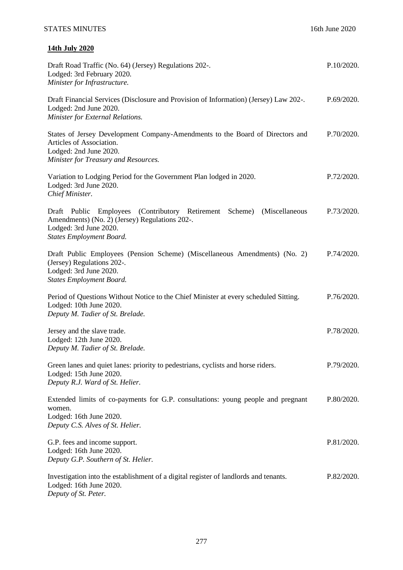# **14th July 2020**

| Draft Road Traffic (No. 64) (Jersey) Regulations 202-.<br>Lodged: 3rd February 2020.<br>Minister for Infrastructure.                                                                  | P.10/2020. |
|---------------------------------------------------------------------------------------------------------------------------------------------------------------------------------------|------------|
| Draft Financial Services (Disclosure and Provision of Information) (Jersey) Law 202-.<br>Lodged: 2nd June 2020.<br>Minister for External Relations.                                   | P.69/2020. |
| States of Jersey Development Company-Amendments to the Board of Directors and<br>Articles of Association.<br>Lodged: 2nd June 2020.<br>Minister for Treasury and Resources.           | P.70/2020. |
| Variation to Lodging Period for the Government Plan lodged in 2020.<br>Lodged: 3rd June 2020.<br>Chief Minister.                                                                      | P.72/2020. |
| Draft Public Employees (Contributory Retirement Scheme) (Miscellaneous<br>Amendments) (No. 2) (Jersey) Regulations 202-.<br>Lodged: 3rd June 2020.<br><b>States Employment Board.</b> | P.73/2020. |
| Draft Public Employees (Pension Scheme) (Miscellaneous Amendments) (No. 2)<br>(Jersey) Regulations 202-.<br>Lodged: 3rd June 2020.<br><b>States Employment Board.</b>                 | P.74/2020. |
| Period of Questions Without Notice to the Chief Minister at every scheduled Sitting.<br>Lodged: 10th June 2020.<br>Deputy M. Tadier of St. Brelade.                                   | P.76/2020. |
| Jersey and the slave trade.<br>Lodged: 12th June 2020.<br>Deputy M. Tadier of St. Brelade.                                                                                            | P.78/2020. |
| Green lanes and quiet lanes: priority to pedestrians, cyclists and horse riders.<br>Lodged: 15th June 2020.<br>Deputy R.J. Ward of St. Helier.                                        | P.79/2020. |
| Extended limits of co-payments for G.P. consultations: young people and pregnant<br>women.<br>Lodged: 16th June 2020.<br>Deputy C.S. Alves of St. Helier.                             | P.80/2020. |
| G.P. fees and income support.<br>Lodged: 16th June 2020.<br>Deputy G.P. Southern of St. Helier.                                                                                       | P.81/2020. |
| Investigation into the establishment of a digital register of landlords and tenants.<br>Lodged: 16th June 2020.<br>Deputy of St. Peter.                                               | P.82/2020. |